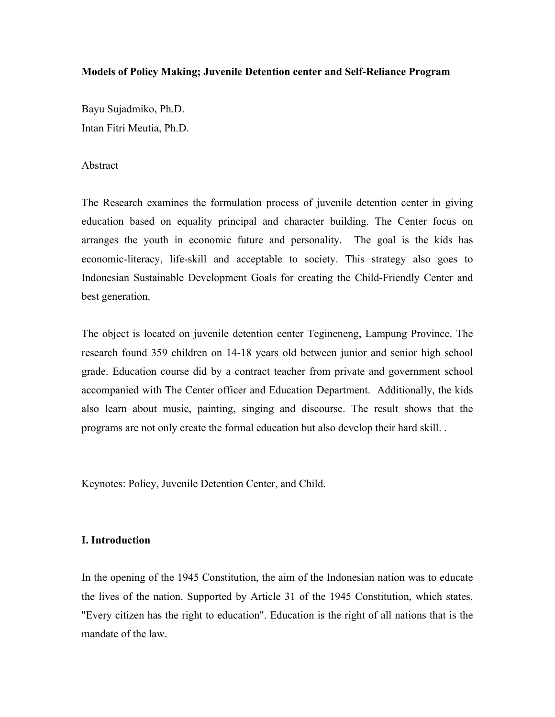# **Models of Policy Making; Juvenile Detention center and Self-Reliance Program**

Bayu Sujadmiko, Ph.D. Intan Fitri Meutia, Ph.D.

## Abstract

The Research examines the formulation process of juvenile detention center in giving education based on equality principal and character building. The Center focus on arranges the youth in economic future and personality. The goal is the kids has economic-literacy, life-skill and acceptable to society. This strategy also goes to Indonesian Sustainable Development Goals for creating the Child-Friendly Center and best generation.

The object is located on juvenile detention center Tegineneng, Lampung Province. The research found 359 children on 14-18 years old between junior and senior high school grade. Education course did by a contract teacher from private and government school accompanied with The Center officer and Education Department. Additionally, the kids also learn about music, painting, singing and discourse. The result shows that the programs are not only create the formal education but also develop their hard skill. .

Keynotes: Policy, Juvenile Detention Center, and Child.

# **I. Introduction**

In the opening of the 1945 Constitution, the aim of the Indonesian nation was to educate the lives of the nation. Supported by Article 31 of the 1945 Constitution, which states, "Every citizen has the right to education". Education is the right of all nations that is the mandate of the law.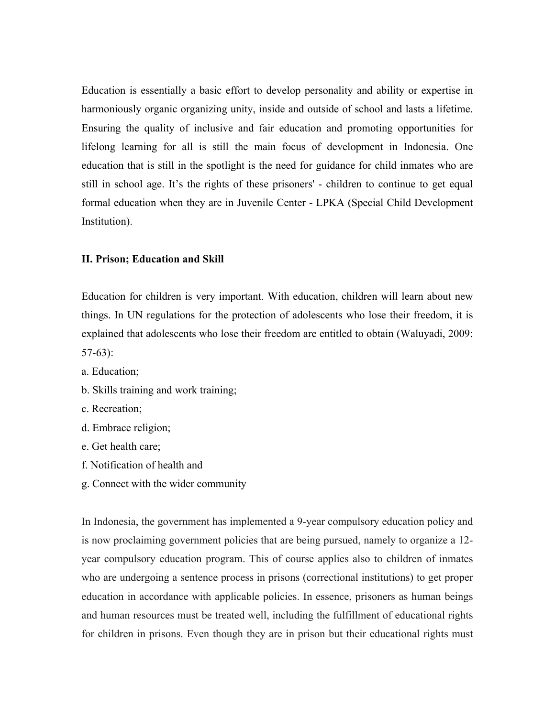Education is essentially a basic effort to develop personality and ability or expertise in harmoniously organic organizing unity, inside and outside of school and lasts a lifetime. Ensuring the quality of inclusive and fair education and promoting opportunities for lifelong learning for all is still the main focus of development in Indonesia. One education that is still in the spotlight is the need for guidance for child inmates who are still in school age. It's the rights of these prisoners' - children to continue to get equal formal education when they are in Juvenile Center - LPKA (Special Child Development Institution).

### **II. Prison; Education and Skill**

Education for children is very important. With education, children will learn about new things. In UN regulations for the protection of adolescents who lose their freedom, it is explained that adolescents who lose their freedom are entitled to obtain (Waluyadi, 2009: 57-63):

a. Education;

- b. Skills training and work training;
- c. Recreation;
- d. Embrace religion;
- e. Get health care;
- f. Notification of health and
- g. Connect with the wider community

In Indonesia, the government has implemented a 9-year compulsory education policy and is now proclaiming government policies that are being pursued, namely to organize a 12 year compulsory education program. This of course applies also to children of inmates who are undergoing a sentence process in prisons (correctional institutions) to get proper education in accordance with applicable policies. In essence, prisoners as human beings and human resources must be treated well, including the fulfillment of educational rights for children in prisons. Even though they are in prison but their educational rights must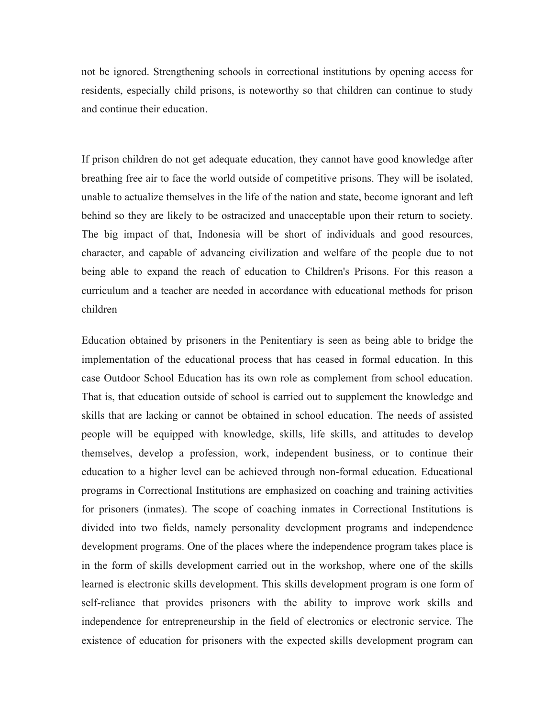not be ignored. Strengthening schools in correctional institutions by opening access for residents, especially child prisons, is noteworthy so that children can continue to study and continue their education.

If prison children do not get adequate education, they cannot have good knowledge after breathing free air to face the world outside of competitive prisons. They will be isolated, unable to actualize themselves in the life of the nation and state, become ignorant and left behind so they are likely to be ostracized and unacceptable upon their return to society. The big impact of that, Indonesia will be short of individuals and good resources, character, and capable of advancing civilization and welfare of the people due to not being able to expand the reach of education to Children's Prisons. For this reason a curriculum and a teacher are needed in accordance with educational methods for prison children

Education obtained by prisoners in the Penitentiary is seen as being able to bridge the implementation of the educational process that has ceased in formal education. In this case Outdoor School Education has its own role as complement from school education. That is, that education outside of school is carried out to supplement the knowledge and skills that are lacking or cannot be obtained in school education. The needs of assisted people will be equipped with knowledge, skills, life skills, and attitudes to develop themselves, develop a profession, work, independent business, or to continue their education to a higher level can be achieved through non-formal education. Educational programs in Correctional Institutions are emphasized on coaching and training activities for prisoners (inmates). The scope of coaching inmates in Correctional Institutions is divided into two fields, namely personality development programs and independence development programs. One of the places where the independence program takes place is in the form of skills development carried out in the workshop, where one of the skills learned is electronic skills development. This skills development program is one form of self-reliance that provides prisoners with the ability to improve work skills and independence for entrepreneurship in the field of electronics or electronic service. The existence of education for prisoners with the expected skills development program can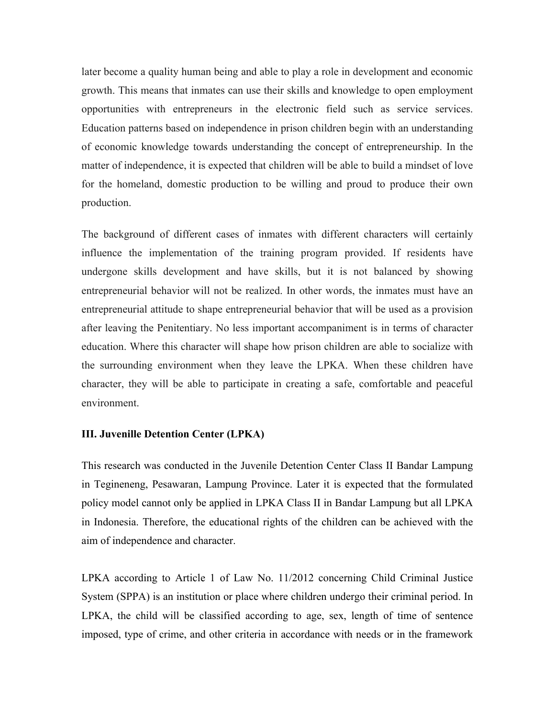later become a quality human being and able to play a role in development and economic growth. This means that inmates can use their skills and knowledge to open employment opportunities with entrepreneurs in the electronic field such as service services. Education patterns based on independence in prison children begin with an understanding of economic knowledge towards understanding the concept of entrepreneurship. In the matter of independence, it is expected that children will be able to build a mindset of love for the homeland, domestic production to be willing and proud to produce their own production.

The background of different cases of inmates with different characters will certainly influence the implementation of the training program provided. If residents have undergone skills development and have skills, but it is not balanced by showing entrepreneurial behavior will not be realized. In other words, the inmates must have an entrepreneurial attitude to shape entrepreneurial behavior that will be used as a provision after leaving the Penitentiary. No less important accompaniment is in terms of character education. Where this character will shape how prison children are able to socialize with the surrounding environment when they leave the LPKA. When these children have character, they will be able to participate in creating a safe, comfortable and peaceful environment.

# **III. Juvenille Detention Center (LPKA)**

This research was conducted in the Juvenile Detention Center Class II Bandar Lampung in Tegineneng, Pesawaran, Lampung Province. Later it is expected that the formulated policy model cannot only be applied in LPKA Class II in Bandar Lampung but all LPKA in Indonesia. Therefore, the educational rights of the children can be achieved with the aim of independence and character.

LPKA according to Article 1 of Law No. 11/2012 concerning Child Criminal Justice System (SPPA) is an institution or place where children undergo their criminal period. In LPKA, the child will be classified according to age, sex, length of time of sentence imposed, type of crime, and other criteria in accordance with needs or in the framework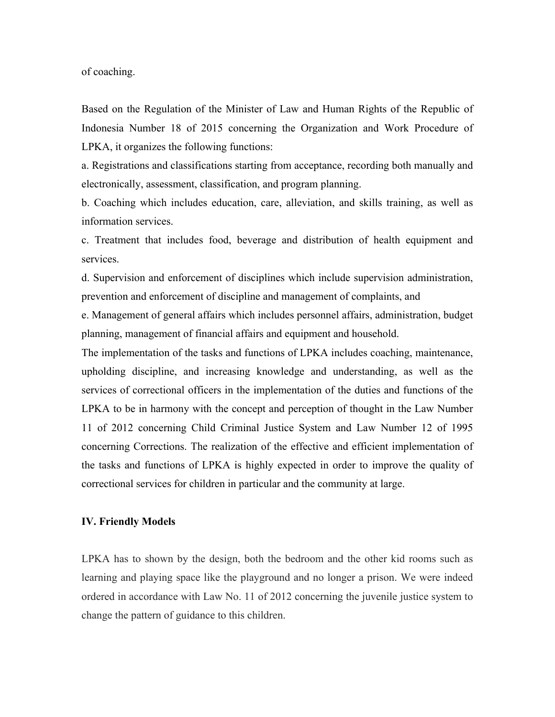of coaching.

Based on the Regulation of the Minister of Law and Human Rights of the Republic of Indonesia Number 18 of 2015 concerning the Organization and Work Procedure of LPKA, it organizes the following functions:

a. Registrations and classifications starting from acceptance, recording both manually and electronically, assessment, classification, and program planning.

b. Coaching which includes education, care, alleviation, and skills training, as well as information services.

c. Treatment that includes food, beverage and distribution of health equipment and services.

d. Supervision and enforcement of disciplines which include supervision administration, prevention and enforcement of discipline and management of complaints, and

e. Management of general affairs which includes personnel affairs, administration, budget planning, management of financial affairs and equipment and household.

The implementation of the tasks and functions of LPKA includes coaching, maintenance, upholding discipline, and increasing knowledge and understanding, as well as the services of correctional officers in the implementation of the duties and functions of the LPKA to be in harmony with the concept and perception of thought in the Law Number 11 of 2012 concerning Child Criminal Justice System and Law Number 12 of 1995 concerning Corrections. The realization of the effective and efficient implementation of the tasks and functions of LPKA is highly expected in order to improve the quality of correctional services for children in particular and the community at large.

#### **IV. Friendly Models**

LPKA has to shown by the design, both the bedroom and the other kid rooms such as learning and playing space like the playground and no longer a prison. We were indeed ordered in accordance with Law No. 11 of 2012 concerning the juvenile justice system to change the pattern of guidance to this children.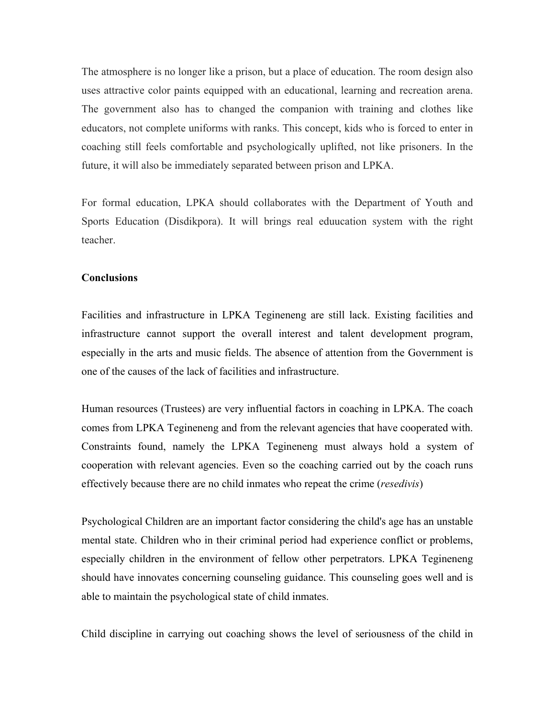The atmosphere is no longer like a prison, but a place of education. The room design also uses attractive color paints equipped with an educational, learning and recreation arena. The government also has to changed the companion with training and clothes like educators, not complete uniforms with ranks. This concept, kids who is forced to enter in coaching still feels comfortable and psychologically uplifted, not like prisoners. In the future, it will also be immediately separated between prison and LPKA.

For formal education, LPKA should collaborates with the Department of Youth and Sports Education (Disdikpora). It will brings real eduucation system with the right teacher.

# **Conclusions**

Facilities and infrastructure in LPKA Tegineneng are still lack. Existing facilities and infrastructure cannot support the overall interest and talent development program, especially in the arts and music fields. The absence of attention from the Government is one of the causes of the lack of facilities and infrastructure.

Human resources (Trustees) are very influential factors in coaching in LPKA. The coach comes from LPKA Tegineneng and from the relevant agencies that have cooperated with. Constraints found, namely the LPKA Tegineneng must always hold a system of cooperation with relevant agencies. Even so the coaching carried out by the coach runs effectively because there are no child inmates who repeat the crime (*resedivis*)

Psychological Children are an important factor considering the child's age has an unstable mental state. Children who in their criminal period had experience conflict or problems, especially children in the environment of fellow other perpetrators. LPKA Tegineneng should have innovates concerning counseling guidance. This counseling goes well and is able to maintain the psychological state of child inmates.

Child discipline in carrying out coaching shows the level of seriousness of the child in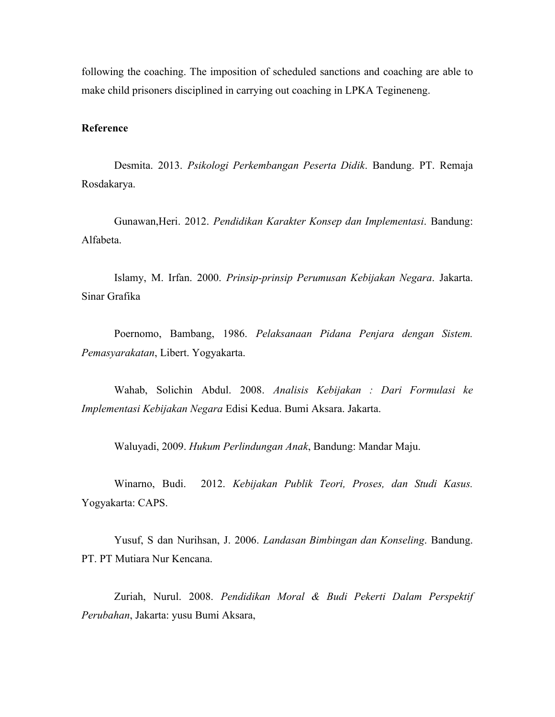following the coaching. The imposition of scheduled sanctions and coaching are able to make child prisoners disciplined in carrying out coaching in LPKA Tegineneng.

#### **Reference**

Desmita. 2013. *Psikologi Perkembangan Peserta Didik*. Bandung. PT. Remaja Rosdakarya.

Gunawan,Heri. 2012. *Pendidikan Karakter Konsep dan Implementasi*. Bandung: Alfabeta.

Islamy, M. Irfan. 2000. *Prinsip-prinsip Perumusan Kebijakan Negara*. Jakarta. Sinar Grafika

Poernomo, Bambang, 1986. *Pelaksanaan Pidana Penjara dengan Sistem. Pemasyarakatan*, Libert. Yogyakarta.

Wahab, Solichin Abdul. 2008. *Analisis Kebijakan : Dari Formulasi ke Implementasi Kebijakan Negara* Edisi Kedua. Bumi Aksara. Jakarta.

Waluyadi, 2009. *Hukum Perlindungan Anak*, Bandung: Mandar Maju.

Winarno, Budi. 2012. *Kebijakan Publik Teori, Proses, dan Studi Kasus.* Yogyakarta: CAPS.

Yusuf, S dan Nurihsan, J. 2006. *Landasan Bimbingan dan Konseling*. Bandung. PT. PT Mutiara Nur Kencana.

Zuriah, Nurul. 2008. *Pendidikan Moral & Budi Pekerti Dalam Perspektif Perubahan*, Jakarta: yusu Bumi Aksara,